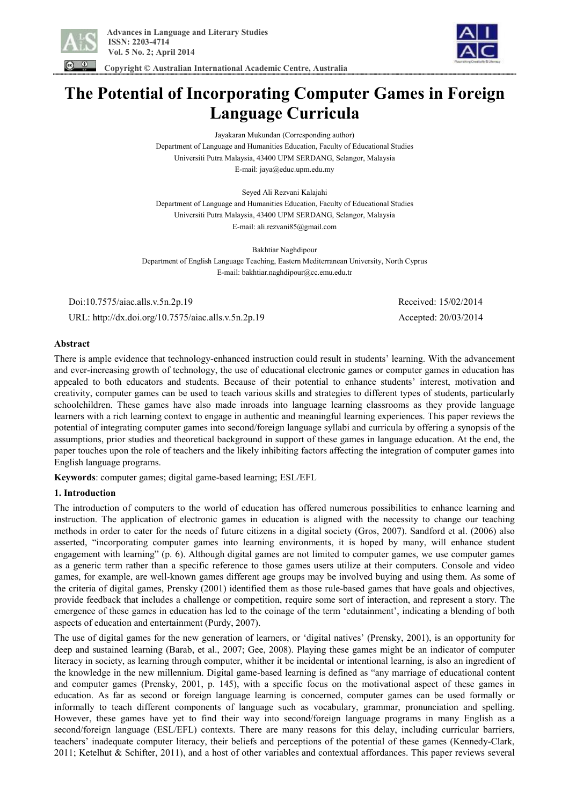



 **Copyright © Australian International Academic Centre, Australia** 

# **The Potential of Incorporating Computer Games in Foreign Language Curricula**

Jayakaran Mukundan (Corresponding author) Department of Language and Humanities Education, Faculty of Educational Studies Universiti Putra Malaysia, 43400 UPM SERDANG, Selangor, Malaysia E-mail: jaya@educ.upm.edu.my

Seyed Ali Rezvani Kalajahi Department of Language and Humanities Education, Faculty of Educational Studies Universiti Putra Malaysia, 43400 UPM SERDANG, Selangor, Malaysia E-mail: ali.rezvani85@gmail.com

Bakhtiar Naghdipour Department of English Language Teaching, Eastern Mediterranean University, North Cyprus E-mail: bakhtiar.naghdipour@cc.emu.edu.tr

 Doi:10.7575/aiac.alls.v.5n.2p.19 Received: 15/02/2014 URL: http://dx.doi.org/10.7575/aiac.alls.v.5n.2p.19 Accepted: 20/03/2014

## **Abstract**

There is ample evidence that technology-enhanced instruction could result in students' learning. With the advancement and ever-increasing growth of technology, the use of educational electronic games or computer games in education has appealed to both educators and students. Because of their potential to enhance students' interest, motivation and creativity, computer games can be used to teach various skills and strategies to different types of students, particularly schoolchildren. These games have also made inroads into language learning classrooms as they provide language learners with a rich learning context to engage in authentic and meaningful learning experiences. This paper reviews the potential of integrating computer games into second/foreign language syllabi and curricula by offering a synopsis of the assumptions, prior studies and theoretical background in support of these games in language education. At the end, the paper touches upon the role of teachers and the likely inhibiting factors affecting the integration of computer games into English language programs.

**Keywords**: computer games; digital game-based learning; ESL/EFL

## **1. Introduction**

The introduction of computers to the world of education has offered numerous possibilities to enhance learning and instruction. The application of electronic games in education is aligned with the necessity to change our teaching methods in order to cater for the needs of future citizens in a digital society (Gros, 2007). Sandford et al. (2006) also asserted, "incorporating computer games into learning environments, it is hoped by many, will enhance student engagement with learning" (p. 6). Although digital games are not limited to computer games, we use computer games as a generic term rather than a specific reference to those games users utilize at their computers. Console and video games, for example, are well-known games different age groups may be involved buying and using them. As some of the criteria of digital games, Prensky (2001) identified them as those rule-based games that have goals and objectives, provide feedback that includes a challenge or competition, require some sort of interaction, and represent a story. The emergence of these games in education has led to the coinage of the term 'edutainment', indicating a blending of both aspects of education and entertainment (Purdy, 2007).

The use of digital games for the new generation of learners, or 'digital natives' (Prensky, 2001), is an opportunity for deep and sustained learning (Barab, et al., 2007; Gee, 2008). Playing these games might be an indicator of computer literacy in society, as learning through computer, whither it be incidental or intentional learning, is also an ingredient of the knowledge in the new millennium. Digital game-based learning is defined as "any marriage of educational content and computer games (Prensky, 2001, p. 145), with a specific focus on the motivational aspect of these games in education. As far as second or foreign language learning is concerned, computer games can be used formally or informally to teach different components of language such as vocabulary, grammar, pronunciation and spelling. However, these games have yet to find their way into second/foreign language programs in many English as a second/foreign language (ESL/EFL) contexts. There are many reasons for this delay, including curricular barriers, teachers' inadequate computer literacy, their beliefs and perceptions of the potential of these games (Kennedy-Clark, 2011; Ketelhut & Schifter, 2011), and a host of other variables and contextual affordances. This paper reviews several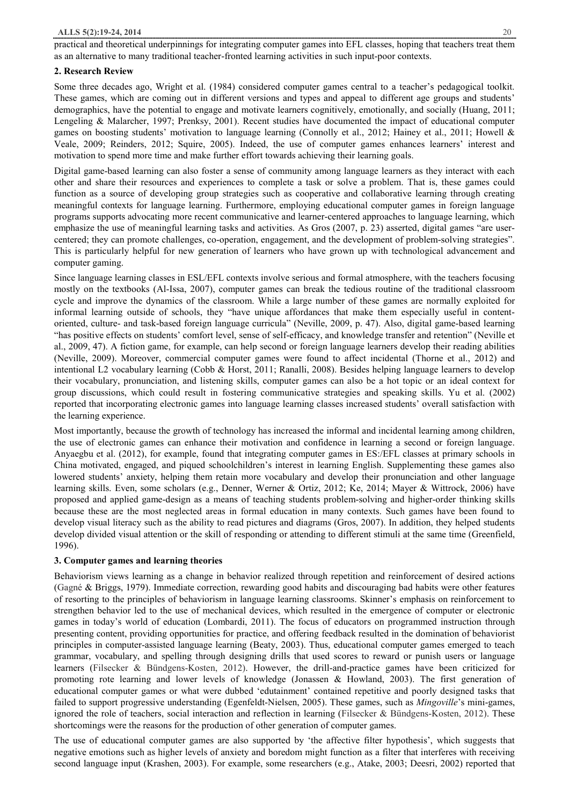practical and theoretical underpinnings for integrating computer games into EFL classes, hoping that teachers treat them as an alternative to many traditional teacher-fronted learning activities in such input-poor contexts.

# **2. Research Review**

Some three decades ago, Wright et al. (1984) considered computer games central to a teacher's pedagogical toolkit. These games, which are coming out in different versions and types and appeal to different age groups and students' demographics, have the potential to engage and motivate learners cognitively, emotionally, and socially (Huang, 2011; Lengeling & Malarcher, 1997; Prenksy, 2001). Recent studies have documented the impact of educational computer games on boosting students' motivation to language learning (Connolly et al., 2012; Hainey et al., 2011; Howell & Veale, 2009; Reinders, 2012; Squire, 2005). Indeed, the use of computer games enhances learners' interest and motivation to spend more time and make further effort towards achieving their learning goals.

Digital game-based learning can also foster a sense of community among language learners as they interact with each other and share their resources and experiences to complete a task or solve a problem. That is, these games could function as a source of developing group strategies such as cooperative and collaborative learning through creating meaningful contexts for language learning. Furthermore, employing educational computer games in foreign language programs supports advocating more recent communicative and learner-centered approaches to language learning, which emphasize the use of meaningful learning tasks and activities. As Gros (2007, p. 23) asserted, digital games "are usercentered; they can promote challenges, co-operation, engagement, and the development of problem-solving strategies". This is particularly helpful for new generation of learners who have grown up with technological advancement and computer gaming.

Since language learning classes in ESL/EFL contexts involve serious and formal atmosphere, with the teachers focusing mostly on the textbooks (Al-Issa, 2007), computer games can break the tedious routine of the traditional classroom cycle and improve the dynamics of the classroom. While a large number of these games are normally exploited for informal learning outside of schools, they "have unique affordances that make them especially useful in contentoriented, culture- and task-based foreign language curricula" (Neville, 2009, p. 47). Also, digital game-based learning "has positive effects on students' comfort level, sense of self-efficacy, and knowledge transfer and retention" (Neville et al., 2009, 47). A fiction game, for example, can help second or foreign language learners develop their reading abilities (Neville, 2009). Moreover, commercial computer games were found to affect incidental (Thorne et al., 2012) and intentional L2 vocabulary learning (Cobb & Horst, 2011; Ranalli, 2008). Besides helping language learners to develop their vocabulary, pronunciation, and listening skills, computer games can also be a hot topic or an ideal context for group discussions, which could result in fostering communicative strategies and speaking skills. Yu et al. (2002) reported that incorporating electronic games into language learning classes increased students' overall satisfaction with the learning experience.

Most importantly, because the growth of technology has increased the informal and incidental learning among children, the use of electronic games can enhance their motivation and confidence in learning a second or foreign language. Anyaegbu et al. (2012), for example, found that integrating computer games in ES:/EFL classes at primary schools in China motivated, engaged, and piqued schoolchildren's interest in learning English. Supplementing these games also lowered students' anxiety, helping them retain more vocabulary and develop their pronunciation and other language learning skills. Even, some scholars (e.g., Denner, Werner & Ortiz, 2012; Ke, 2014; Mayer & Wittrock, 2006) have proposed and applied game-design as a means of teaching students problem-solving and higher-order thinking skills because these are the most neglected areas in formal education in many contexts. Such games have been found to develop visual literacy such as the ability to read pictures and diagrams (Gros, 2007). In addition, they helped students develop divided visual attention or the skill of responding or attending to different stimuli at the same time (Greenfield, 1996).

# **3. Computer games and learning theories**

Behaviorism views learning as a change in behavior realized through repetition and reinforcement of desired actions (Gagné & Briggs, 1979). Immediate correction, rewarding good habits and discouraging bad habits were other features of resorting to the principles of behaviorism in language learning classrooms. Skinner's emphasis on reinforcement to strengthen behavior led to the use of mechanical devices, which resulted in the emergence of computer or electronic games in today's world of education (Lombardi, 2011). The focus of educators on programmed instruction through presenting content, providing opportunities for practice, and offering feedback resulted in the domination of behaviorist principles in computer-assisted language learning (Beaty, 2003). Thus, educational computer games emerged to teach grammar, vocabulary, and spelling through designing drills that used scores to reward or punish users or language learners (Filsecker & Bündgens-Kosten, 2012). However, the drill-and-practice games have been criticized for promoting rote learning and lower levels of knowledge (Jonassen & Howland, 2003). The first generation of educational computer games or what were dubbed 'edutainment' contained repetitive and poorly designed tasks that failed to support progressive understanding (Egenfeldt-Nielsen, 2005). These games, such as *Mingoville*'s mini-games, ignored the role of teachers, social interaction and reflection in learning (Filsecker & Bündgens-Kosten, 2012). These shortcomings were the reasons for the production of other generation of computer games.

The use of educational computer games are also supported by 'the affective filter hypothesis', which suggests that negative emotions such as higher levels of anxiety and boredom might function as a filter that interferes with receiving second language input (Krashen, 2003). For example, some researchers (e.g., Atake, 2003; Deesri, 2002) reported that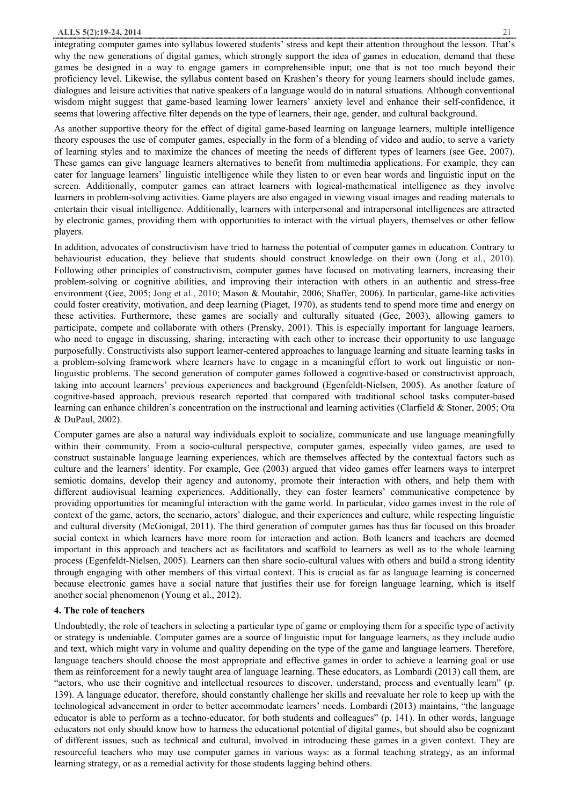integrating computer games into syllabus lowered students' stress and kept their attention throughout the lesson. That's why the new generations of digital games, which strongly support the idea of games in education, demand that these games be designed in a way to engage gamers in comprehensible input; one that is not too much beyond their proficiency level. Likewise, the syllabus content based on Krashen's theory for young learners should include games, dialogues and leisure activities that native speakers of a language would do in natural situations. Although conventional wisdom might suggest that game-based learning lower learners' anxiety level and enhance their self-confidence, it seems that lowering affective filter depends on the type of learners, their age, gender, and cultural background.

As another supportive theory for the effect of digital game-based learning on language learners, multiple intelligence theory espouses the use of computer games, especially in the form of a blending of video and audio, to serve a variety of learning styles and to maximize the chances of meeting the needs of different types of learners (see Gee, 2007). These games can give language learners alternatives to benefit from multimedia applications. For example, they can cater for language learners' linguistic intelligence while they listen to or even hear words and linguistic input on the screen. Additionally, computer games can attract learners with logical-mathematical intelligence as they involve learners in problem-solving activities. Game players are also engaged in viewing visual images and reading materials to entertain their visual intelligence. Additionally, learners with interpersonal and intrapersonal intelligences are attracted by electronic games, providing them with opportunities to interact with the virtual players, themselves or other fellow players.

In addition, advocates of constructivism have tried to harness the potential of computer games in education. Contrary to behaviourist education, they believe that students should construct knowledge on their own (Jong et al., 2010). Following other principles of constructivism, computer games have focused on motivating learners, increasing their problem-solving or cognitive abilities, and improving their interaction with others in an authentic and stress-free environment (Gee, 2005; Jong et al., 2010; Mason & Moutahir, 2006; Shaffer, 2006). In particular, game-like activities could foster creativity, motivation, and deep learning (Piaget, 1970), as students tend to spend more time and energy on these activities. Furthermore, these games are socially and culturally situated (Gee, 2003), allowing gamers to participate, compete and collaborate with others (Prensky, 2001). This is especially important for language learners, who need to engage in discussing, sharing, interacting with each other to increase their opportunity to use language purposefully. Constructivists also support learner-centered approaches to language learning and situate learning tasks in a problem-solving framework where learners have to engage in a meaningful effort to work out linguistic or nonlinguistic problems. The second generation of computer games followed a cognitive-based or constructivist approach, taking into account learners' previous experiences and background (Egenfeldt-Nielsen, 2005). As another feature of cognitive-based approach, previous research reported that compared with traditional school tasks computer-based learning can enhance children's concentration on the instructional and learning activities (Clarfield & Stoner, 2005; Ota & DuPaul, 2002).

Computer games are also a natural way individuals exploit to socialize, communicate and use language meaningfully within their community. From a socio-cultural perspective, computer games, especially video games, are used to construct sustainable language learning experiences, which are themselves affected by the contextual factors such as culture and the learners' identity. For example, Gee (2003) argued that video games offer learners ways to interpret semiotic domains, develop their agency and autonomy, promote their interaction with others, and help them with different audiovisual learning experiences. Additionally, they can foster learners' communicative competence by providing opportunities for meaningful interaction with the game world. In particular, video games invest in the role of context of the game, actors, the scenario, actors' dialogue, and their experiences and culture, while respecting linguistic and cultural diversity (McGonigal, 2011). The third generation of computer games has thus far focused on this broader social context in which learners have more room for interaction and action. Both leaners and teachers are deemed important in this approach and teachers act as facilitators and scaffold to learners as well as to the whole learning process (Egenfeldt-Nielsen, 2005). Learners can then share socio-cultural values with others and build a strong identity through engaging with other members of this virtual context. This is crucial as far as language learning is concerned because electronic games have a social nature that justifies their use for foreign language learning, which is itself another social phenomenon (Young et al., 2012).

### **4. The role of teachers**

Undoubtedly, the role of teachers in selecting a particular type of game or employing them for a specific type of activity or strategy is undeniable. Computer games are a source of linguistic input for language learners, as they include audio and text, which might vary in volume and quality depending on the type of the game and language learners. Therefore, language teachers should choose the most appropriate and effective games in order to achieve a learning goal or use them as reinforcement for a newly taught area of language learning. These educators, as Lombardi (2013) call them, are "actors, who use their cognitive and intellectual resources to discover, understand, process and eventually learn" (p. 139). A language educator, therefore, should constantly challenge her skills and reevaluate her role to keep up with the technological advancement in order to better accommodate learners' needs. Lombardi (2013) maintains, "the language educator is able to perform as a techno-educator, for both students and colleagues" (p. 141). In other words, language educators not only should know how to harness the educational potential of digital games, but should also be cognizant of different issues, such as technical and cultural, involved in introducing these games in a given context. They are resourceful teachers who may use computer games in various ways: as a formal teaching strategy, as an informal learning strategy, or as a remedial activity for those students lagging behind others.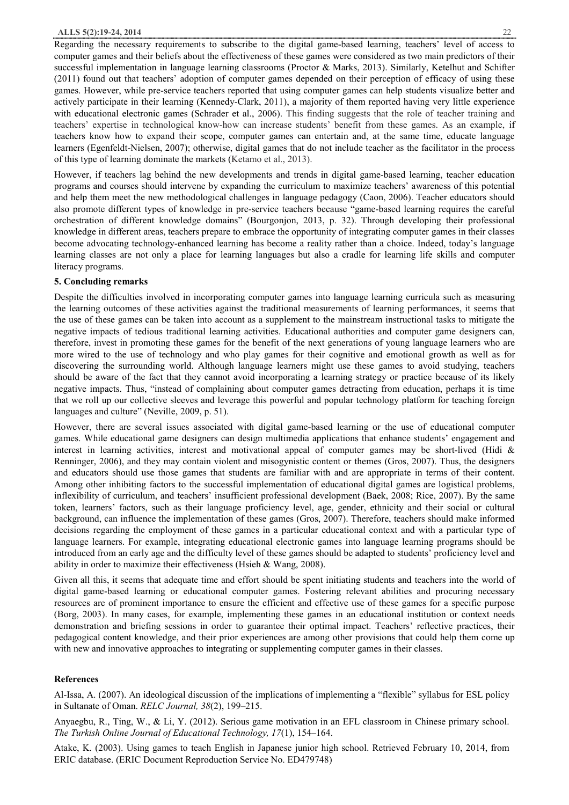Regarding the necessary requirements to subscribe to the digital game-based learning, teachers' level of access to computer games and their beliefs about the effectiveness of these games were considered as two main predictors of their successful implementation in language learning classrooms (Proctor & Marks, 2013). Similarly, Ketelhut and Schifter (2011) found out that teachers' adoption of computer games depended on their perception of efficacy of using these games. However, while pre-service teachers reported that using computer games can help students visualize better and actively participate in their learning (Kennedy-Clark, 2011), a majority of them reported having very little experience with educational electronic games (Schrader et al., 2006). This finding suggests that the role of teacher training and teachers' expertise in technological know-how can increase students' benefit from these games. As an example, if teachers know how to expand their scope, computer games can entertain and, at the same time, educate language learners (Egenfeldt-Nielsen, 2007); otherwise, digital games that do not include teacher as the facilitator in the process of this type of learning dominate the markets (Ketamo et al., 2013).

However, if teachers lag behind the new developments and trends in digital game-based learning, teacher education programs and courses should intervene by expanding the curriculum to maximize teachers' awareness of this potential and help them meet the new methodological challenges in language pedagogy (Caon, 2006). Teacher educators should also promote different types of knowledge in pre-service teachers because "game-based learning requires the careful orchestration of different knowledge domains" (Bourgonjon, 2013, p. 32). Through developing their professional knowledge in different areas, teachers prepare to embrace the opportunity of integrating computer games in their classes become advocating technology-enhanced learning has become a reality rather than a choice. Indeed, today's language learning classes are not only a place for learning languages but also a cradle for learning life skills and computer literacy programs.

#### **5. Concluding remarks**

Despite the difficulties involved in incorporating computer games into language learning curricula such as measuring the learning outcomes of these activities against the traditional measurements of learning performances, it seems that the use of these games can be taken into account as a supplement to the mainstream instructional tasks to mitigate the negative impacts of tedious traditional learning activities. Educational authorities and computer game designers can, therefore, invest in promoting these games for the benefit of the next generations of young language learners who are more wired to the use of technology and who play games for their cognitive and emotional growth as well as for discovering the surrounding world. Although language learners might use these games to avoid studying, teachers should be aware of the fact that they cannot avoid incorporating a learning strategy or practice because of its likely negative impacts. Thus, "instead of complaining about computer games detracting from education, perhaps it is time that we roll up our collective sleeves and leverage this powerful and popular technology platform for teaching foreign languages and culture" (Neville, 2009, p. 51).

However, there are several issues associated with digital game-based learning or the use of educational computer games. While educational game designers can design multimedia applications that enhance students' engagement and interest in learning activities, interest and motivational appeal of computer games may be short-lived (Hidi & Renninger, 2006), and they may contain violent and misogynistic content or themes (Gros, 2007). Thus, the designers and educators should use those games that students are familiar with and are appropriate in terms of their content. Among other inhibiting factors to the successful implementation of educational digital games are logistical problems, inflexibility of curriculum, and teachers' insufficient professional development (Baek, 2008; Rice, 2007). By the same token, learners' factors, such as their language proficiency level, age, gender, ethnicity and their social or cultural background, can influence the implementation of these games (Gros, 2007). Therefore, teachers should make informed decisions regarding the employment of these games in a particular educational context and with a particular type of language learners. For example, integrating educational electronic games into language learning programs should be introduced from an early age and the difficulty level of these games should be adapted to students' proficiency level and ability in order to maximize their effectiveness (Hsieh & Wang, 2008).

Given all this, it seems that adequate time and effort should be spent initiating students and teachers into the world of digital game-based learning or educational computer games. Fostering relevant abilities and procuring necessary resources are of prominent importance to ensure the efficient and effective use of these games for a specific purpose (Borg, 2003). In many cases, for example, implementing these games in an educational institution or context needs demonstration and briefing sessions in order to guarantee their optimal impact. Teachers' reflective practices, their pedagogical content knowledge, and their prior experiences are among other provisions that could help them come up with new and innovative approaches to integrating or supplementing computer games in their classes.

#### **References**

Al-Issa, A. (2007). An ideological discussion of the implications of implementing a "flexible" syllabus for ESL policy in Sultanate of Oman. *RELC Journal, 38*(2), 199–215.

Anyaegbu, R., Ting, W., & Li, Y. (2012). Serious game motivation in an EFL classroom in Chinese primary school. *The Turkish Online Journal of Educational Technology, 17*(1), 154–164.

Atake, K. (2003). Using games to teach English in Japanese junior high school. Retrieved February 10, 2014, from ERIC database. (ERIC Document Reproduction Service No. ED479748)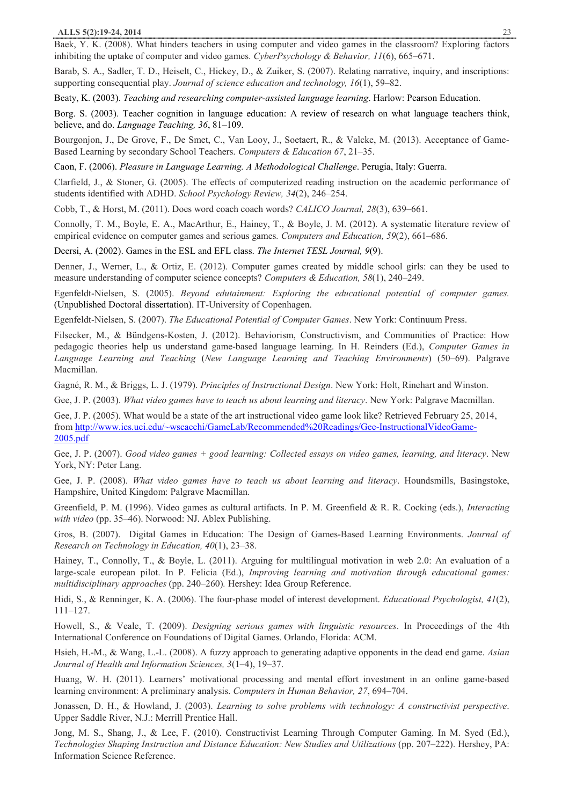Baek, Y. K. (2008). What hinders teachers in using computer and video games in the classroom? Exploring factors inhibiting the uptake of computer and video games. *CyberPsychology & Behavior, 11*(6), 665–671.

Barab, S. A., Sadler, T. D., Heiselt, C., Hickey, D., & Zuiker, S. (2007). Relating narrative, inquiry, and inscriptions: supporting consequential play. *Journal of science education and technology, 16*(1), 59–82.

Beaty, K. (2003). *Teaching and researching computer-assisted language learning*. Harlow: Pearson Education.

Borg. S. (2003). Teacher cognition in language education: A review of research on what language teachers think, believe, and do. *Language Teaching, 36*, 81–109.

Bourgonjon, J., De Grove, F., De Smet, C., Van Looy, J., Soetaert, R., & Valcke, M. (2013). Acceptance of Game-Based Learning by secondary School Teachers. *Computers & Education 67*, 21–35.

Caon, F. (2006). *Pleasure in Language Learning. A Methodological Challenge*. Perugia, Italy: Guerra.

Clarfield, J., & Stoner, G. (2005). The effects of computerized reading instruction on the academic performance of students identified with ADHD. *School Psychology Review, 34*(2), 246–254.

Cobb, T., & Horst, M. (2011). Does word coach coach words? *CALICO Journal, 28*(3), 639–661.

Connolly, T. M., Boyle, E. A., MacArthur, E., Hainey, T., & Boyle, J. M. (2012). A systematic literature review of empirical evidence on computer games and serious games*. Computers and Education, 59*(2), 661–686.

Deersi, A. (2002). Games in the ESL and EFL class. *The Internet TESL Journal, 9*(9).

Denner, J., Werner, L., & Ortiz, E. (2012). Computer games created by middle school girls: can they be used to measure understanding of computer science concepts? *Computers & Education, 58*(1), 240–249.

Egenfeldt-Nielsen, S. (2005). *Beyond edutainment: Exploring the educational potential of computer games.* (Unpublished Doctoral dissertation). IT-University of Copenhagen.

Egenfeldt-Nielsen, S. (2007). *The Educational Potential of Computer Games*. New York: Continuum Press.

Filsecker, M., & Bündgens-Kosten, J. (2012). Behaviorism, Constructivism, and Communities of Practice: How pedagogic theories help us understand game-based language learning. In H. Reinders (Ed.), *Computer Games in Language Learning and Teaching* (*New Language Learning and Teaching Environments*) (50–69). Palgrave Macmillan.

Gagné, R. M., & Briggs, L. J. (1979). *Principles of Instructional Design*. New York: Holt, Rinehart and Winston.

Gee, J. P. (2003). *What video games have to teach us about learning and literacy*. New York: Palgrave Macmillan.

Gee, J. P. (2005). What would be a state of the art instructional video game look like? Retrieved February 25, 2014, from http://www.ics.uci.edu/~wscacchi/GameLab/Recommended%20Readings/Gee-InstructionalVideoGame-2005.pdf

Gee, J. P. (2007). *Good video games + good learning: Collected essays on video games, learning, and literacy*. New York, NY: Peter Lang.

Gee, J. P. (2008). *What video games have to teach us about learning and literacy*. Houndsmills, Basingstoke, Hampshire, United Kingdom: Palgrave Macmillan.

Greenfield, P. M. (1996). Video games as cultural artifacts. In P. M. Greenfield & R. R. Cocking (eds.), *Interacting with video* (pp. 35–46). Norwood: NJ. Ablex Publishing.

Gros, B. (2007). Digital Games in Education: The Design of Games-Based Learning Environments. *Journal of Research on Technology in Education, 40*(1), 23–38.

Hainey, T., Connolly, T., & Boyle, L. (2011). Arguing for multilingual motivation in web 2.0: An evaluation of a large-scale european pilot. In P. Felicia (Ed.), *Improving learning and motivation through educational games: multidisciplinary approaches* (pp. 240–260)*.* Hershey: Idea Group Reference.

Hidi, S., & Renninger, K. A. (2006). The four-phase model of interest development. *Educational Psychologist, 41*(2), 111–127.

Howell, S., & Veale, T. (2009). *Designing serious games with linguistic resources*. In Proceedings of the 4th International Conference on Foundations of Digital Games. Orlando, Florida: ACM.

Hsieh, H.-M., & Wang, L.-L. (2008). A fuzzy approach to generating adaptive opponents in the dead end game. *Asian Journal of Health and Information Sciences, 3*(1–4), 19–37.

Huang, W. H. (2011). Learners' motivational processing and mental effort investment in an online game-based learning environment: A preliminary analysis. *Computers in Human Behavior, 27*, 694–704.

Jonassen, D. H., & Howland, J. (2003). *Learning to solve problems with technology: A constructivist perspective*. Upper Saddle River, N.J.: Merrill Prentice Hall.

Jong, M. S., Shang, J., & Lee, F. (2010). Constructivist Learning Through Computer Gaming. In M. Syed (Ed.), *Technologies Shaping Instruction and Distance Education: New Studies and Utilizations* (pp. 207–222). Hershey, PA: Information Science Reference.